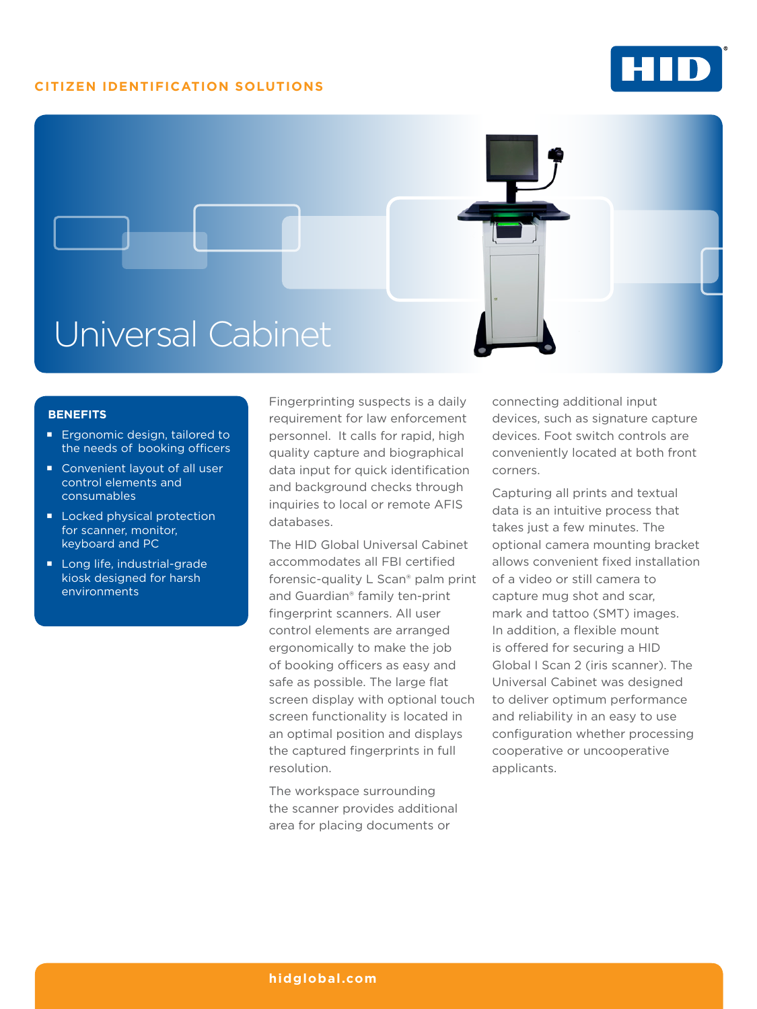## **CITIZEN IDENTIFICATION SOLUTIONS**





## **BENEFITS**

- **Ergonomic design, tailored to** the needs of booking officers
- Convenient layout of all user control elements and consumables
- **Locked physical protection** for scanner, monitor, keyboard and PC
- Long life, industrial-grade kiosk designed for harsh environments

Fingerprinting suspects is a daily requirement for law enforcement personnel. It calls for rapid, high quality capture and biographical data input for quick identification and background checks through inquiries to local or remote AFIS databases.

The HID Global Universal Cabinet accommodates all FBI certified forensic-quality L Scan® palm print and Guardian® family ten-print fingerprint scanners. All user control elements are arranged ergonomically to make the job of booking officers as easy and safe as possible. The large flat screen display with optional touch screen functionality is located in an optimal position and displays the captured fingerprints in full resolution.

The workspace surrounding the scanner provides additional area for placing documents or

connecting additional input devices, such as signature capture devices. Foot switch controls are conveniently located at both front corners.

Capturing all prints and textual data is an intuitive process that takes just a few minutes. The optional camera mounting bracket allows convenient fixed installation of a video or still camera to capture mug shot and scar, mark and tattoo (SMT) images. In addition, a flexible mount is offered for securing a HID Global I Scan 2 (iris scanner). The Universal Cabinet was designed to deliver optimum performance and reliability in an easy to use configuration whether processing cooperative or uncooperative applicants.